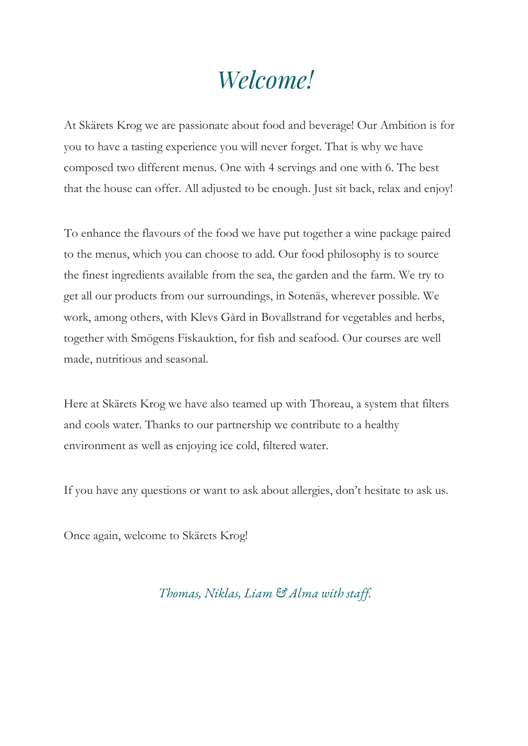# *Welcome!*

At Skärets Krog we are passionate about food and beverage! Our Ambition is for you to have a tasting experience you will never forget. That is why we have composed two different menus. One with 4 servings and one with 6. The best that the house can offer. All adjusted to be enough. Just sit back, relax and enjoy!

To enhance the flavours of the food we have put together a wine package paired to the menus, which you can choose to add. Our food philosophy is to source the finest ingredients available from the sea, the garden and the farm. We try to get all our products from our surroundings, in Sotenäs, wherever possible. We work, among others, with Klevs Gård in Bovallstrand for vegetables and herbs, together with Smögens Fiskauktion, for fish and seafood. Our courses are well made, nutritious and seasonal.

Here at Skärets Krog we have also teamed up with Thoreau, a system that filters and cools water. Thanks to our partnership we contribute to a healthy environment as well as enjoying ice cold, filtered water.

If you have any questions or want to ask about allergies, don't hesitate to ask us.

Once again, welcome to Skärets Krog!

#### *Thomas, Niklas, Liam & Alma with staff.*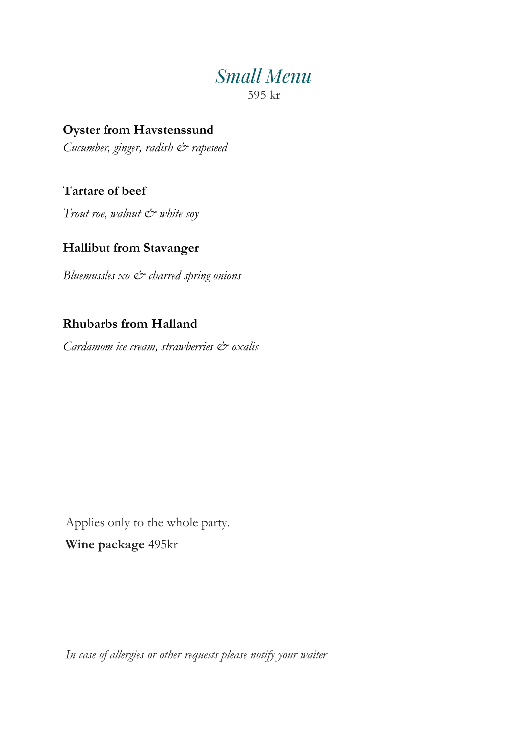### *Small Menu* 595 kr

**Oyster from Havstenssund** *Cucumber, ginger, radish*  $\breve{c}$  *rapeseed* 

**Tartare of beef** 

*Trout roe, walnut*  $\dot{\mathcal{C}}^*$  *white soy* 

#### **Hallibut from Stavanger**

*Bluemussles xo & charred spring onions*

#### **Rhubarbs from Halland**

*Cardamom ice cream, strawberries & oxalis*

Applies only to the whole party. **Wine package** 495kr

*In case of allergies or other requests please notify your waiter*